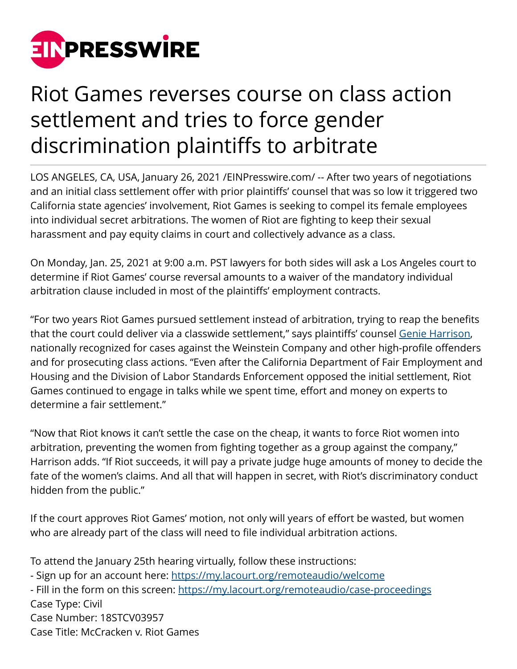

## Riot Games reverses course on class action settlement and tries to force gender discrimination plaintiffs to arbitrate

LOS ANGELES, CA, USA, January 26, 2021 /[EINPresswire.com/](http://www.einpresswire.com) -- After two years of negotiations and an initial class settlement offer with prior plaintiffs' counsel that was so low it triggered two California state agencies' involvement, Riot Games is seeking to compel its female employees into individual secret arbitrations. The women of Riot are fighting to keep their sexual harassment and pay equity claims in court and collectively advance as a class.

On Monday, Jan. 25, 2021 at 9:00 a.m. PST lawyers for both sides will ask a Los Angeles court to determine if Riot Games' course reversal amounts to a waiver of the mandatory individual arbitration clause included in most of the plaintiffs' employment contracts.

"For two years Riot Games pursued settlement instead of arbitration, trying to reap the benefits that the court could deliver via a classwide settlement," says plaintiffs' counsel [Genie Harrison](https://genieharrisonlaw.com/genie-harrison/), nationally recognized for cases against the Weinstein Company and other high-profile offenders and for prosecuting class actions. "Even after the California Department of Fair Employment and Housing and the Division of Labor Standards Enforcement opposed the initial settlement, Riot Games continued to engage in talks while we spent time, effort and money on experts to determine a fair settlement."

"Now that Riot knows it can't settle the case on the cheap, it wants to force Riot women into arbitration, preventing the women from fighting together as a group against the company," Harrison adds. "If Riot succeeds, it will pay a private judge huge amounts of money to decide the fate of the women's claims. And all that will happen in secret, with Riot's discriminatory conduct hidden from the public."

If the court approves Riot Games' motion, not only will years of effort be wasted, but women who are already part of the class will need to file individual arbitration actions.

To attend the January 25th hearing virtually, follow these instructions: - Sign up for an account here:<https://my.lacourt.org/remoteaudio/welcome> - Fill in the form on this screen:<https://my.lacourt.org/remoteaudio/case-proceedings> Case Type: Civil Case Number: 18STCV03957 Case Title: McCracken v. Riot Games